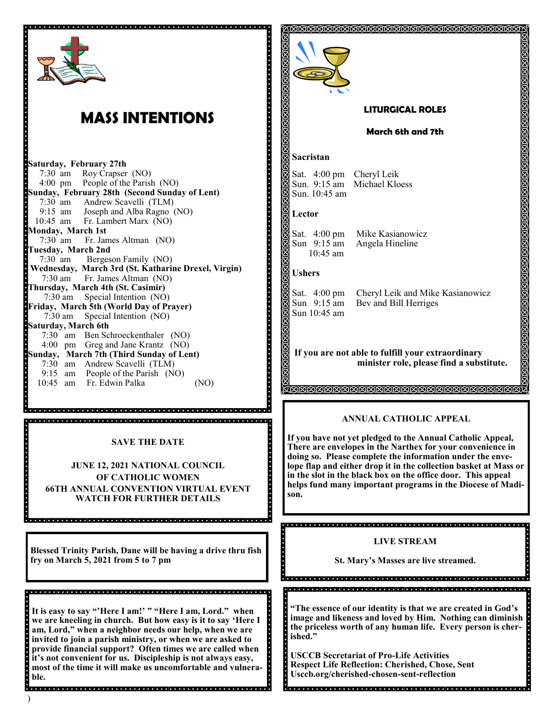

## **MASS INTENTIONS**

**Saturday, February 27th**  7:30 am Roy Crapser (NO) People of the Parish (NO) **Sunday, February 28th (Second Sunday of Lent)** 7:30 am Andrew Scavelli (TLM) 9:15 am Joseph and Alba Ragno (NO) 10:45 am Fr. Lambert Marx (NO) **Monday, March 1st** 7:30 am Fr. James Altman (NO) **Tuesday, March 2nd**  7:30 am Bergeson Family (NO) **Wednesday, March 3rd (St. Katharine Drexel, Virgin)** 7:30 am Fr. James Altman (NO) **Thursday, March 4th (St. Casimir)** 7:30 am Special Intention (NO) **Friday, March 5th (World Day of Prayer)** 7:30 am Special Intention (NO) **Saturday, March 6th**  7:30 am Ben Schroeckenthaler (NO) 4:00 pm Greg and Jane Krantz (NO) **Sunday, March 7th (Third Sunday of Lent)** 7:30 am Andrew Scavelli (TLM) 9:15 am People of the Parish (NO) 10:45 am Fr. Edwin Palka (NO)

## **SAVE THE DATE**

**JUNE 12, 2021 NATIONAL COUNCIL OF CATHOLIC WOMEN 66TH ANNUAL CONVENTION VIRTUAL EVENT WATCH FOR FURTHER DETAILS**

**Blessed Trinity Parish, Dane will be having a drive thru fish fry on March 5, 2021 from 5 to 7 pm**

**It is easy to say "'Here I am!' " "Here I am, Lord." when we are kneeling in church. But how easy is it to say 'Here I am, Lord," when a neighbor needs our help, when we are invited to join a parish ministry, or when we are asked to provide financial support? Often times we are called when it's not convenient for us. Discipleship is not always easy, most of the time it will make us uncomfortable and vulnerable.** 



**USCCB Secretariat of Pro-Life Activities Respect Life Reflection: Cherished, Chose, Sent Usccb.org/cherished-chosen-sent-reflection**